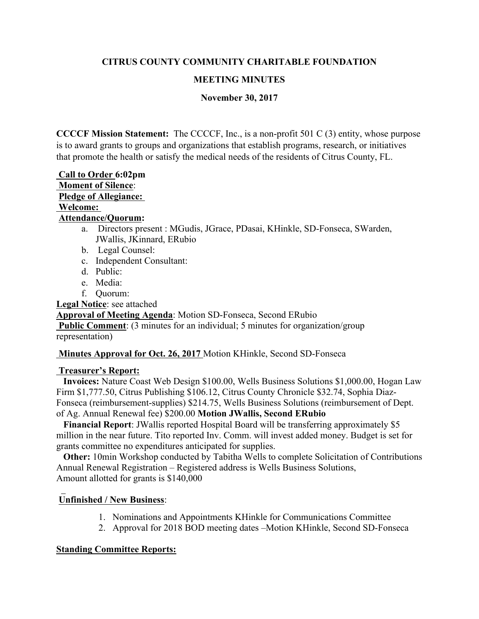## **CITRUS COUNTY COMMUNITY CHARITABLE FOUNDATION**

## **MEETING MINUTES**

## **November 30, 2017**

 **CCCCF Mission Statement:** The CCCCF, Inc., is a non-profit 501 C (3) entity, whose purpose is to award grants to groups and organizations that establish programs, research, or initiatives that promote the health or satisfy the medical needs of the residents of Citrus County, FL.

**Call to Order 6:02pm Moment of Silence**: **Pledge of Allegiance: Welcome:**

### **Attendance/Quorum:**

- a. Directors present : MGudis, JGrace, PDasai, KHinkle, SD-Fonseca, SWarden, JWallis, JKinnard, ERubio
- b. Legal Counsel:
- c. Independent Consultant:
- d. Public:
- e. Media:
- f. Quorum:

**Legal Notice**: see attached

**Approval of Meeting Agenda**: Motion SD-Fonseca, Second ERubio

**Public Comment:** (3 minutes for an individual; 5 minutes for organization/group representation)

**Minutes Approval for Oct. 26, 2017** Motion KHinkle, Second SD-Fonseca

## **Treasurer's Report:**

 **Invoices:** Nature Coast Web Design \$100.00, Wells Business Solutions \$1,000.00, Hogan Law Firm \$1,777.50, Citrus Publishing \$106.12, Citrus County Chronicle \$32.74, Sophia Diaz-Fonseca (reimbursement-supplies) \$214.75, Wells Business Solutions (reimbursement of Dept. of Ag. Annual Renewal fee) \$200.00 **Motion JWallis, Second ERubio**

 **Financial Report**: JWallis reported Hospital Board will be transferring approximately \$5 million in the near future. Tito reported Inv. Comm. will invest added money. Budget is set for grants committee no expenditures anticipated for supplies.

 **Other:** 10min Workshop conducted by Tabitha Wells to complete Solicitation of Contributions Annual Renewal Registration – Registered address is Wells Business Solutions, Amount allotted for grants is \$140,000

# **Unfinished / New Business**:

- 1. Nominations and Appointments KHinkle for Communications Committee
- 2. Approval for 2018 BOD meeting dates –Motion KHinkle, Second SD-Fonseca

# **Standing Committee Reports:**